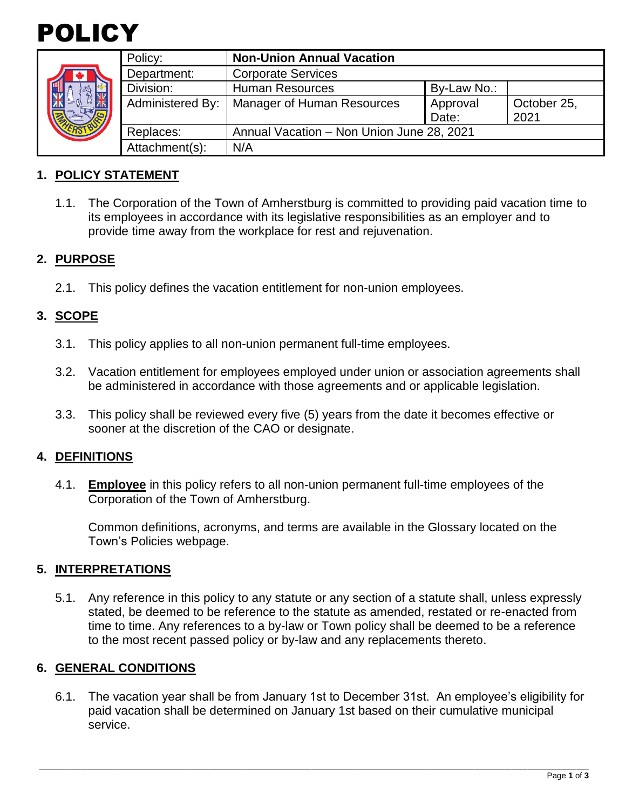



| Policy:          | <b>Non-Union Annual Vacation</b>          |                   |                     |
|------------------|-------------------------------------------|-------------------|---------------------|
| Department:      | <b>Corporate Services</b>                 |                   |                     |
| Division:        | <b>Human Resources</b>                    | By-Law No.:       |                     |
| Administered By: | <b>Manager of Human Resources</b>         | Approval<br>Date: | October 25,<br>2021 |
| Replaces:        | Annual Vacation - Non Union June 28, 2021 |                   |                     |
| Attachment(s):   | N/A                                       |                   |                     |

## **1. POLICY STATEMENT**

1.1. The Corporation of the Town of Amherstburg is committed to providing paid vacation time to its employees in accordance with its legislative responsibilities as an employer and to provide time away from the workplace for rest and rejuvenation.

#### **2. PURPOSE**

2.1. This policy defines the vacation entitlement for non-union employees.

## **3. SCOPE**

- 3.1. This policy applies to all non-union permanent full-time employees.
- 3.2. Vacation entitlement for employees employed under union or association agreements shall be administered in accordance with those agreements and or applicable legislation.
- 3.3. This policy shall be reviewed every five (5) years from the date it becomes effective or sooner at the discretion of the CAO or designate.

#### **4. DEFINITIONS**

4.1. **Employee** in this policy refers to all non-union permanent full-time employees of the Corporation of the Town of Amherstburg.

Common definitions, acronyms, and terms are available in the Glossary located on the Town's Policies webpage.

#### **5. INTERPRETATIONS**

5.1. Any reference in this policy to any statute or any section of a statute shall, unless expressly stated, be deemed to be reference to the statute as amended, restated or re-enacted from time to time. Any references to a by-law or Town policy shall be deemed to be a reference to the most recent passed policy or by-law and any replacements thereto.

#### **6. GENERAL CONDITIONS**

6.1. The vacation year shall be from January 1st to December 31st. An employee's eligibility for paid vacation shall be determined on January 1st based on their cumulative municipal service.

\_\_\_\_\_\_\_\_\_\_\_\_\_\_\_\_\_\_\_\_\_\_\_\_\_\_\_\_\_\_\_\_\_\_\_\_\_\_\_\_\_\_\_\_\_\_\_\_\_\_\_\_\_\_\_\_\_\_\_\_\_\_\_\_\_\_\_\_\_\_\_\_\_\_\_\_\_\_\_\_\_\_\_\_\_\_\_\_\_\_\_\_\_\_\_\_\_\_\_\_\_\_\_\_\_\_\_\_\_\_\_\_\_\_\_\_\_\_\_\_\_\_\_\_\_\_\_\_\_\_\_\_\_\_\_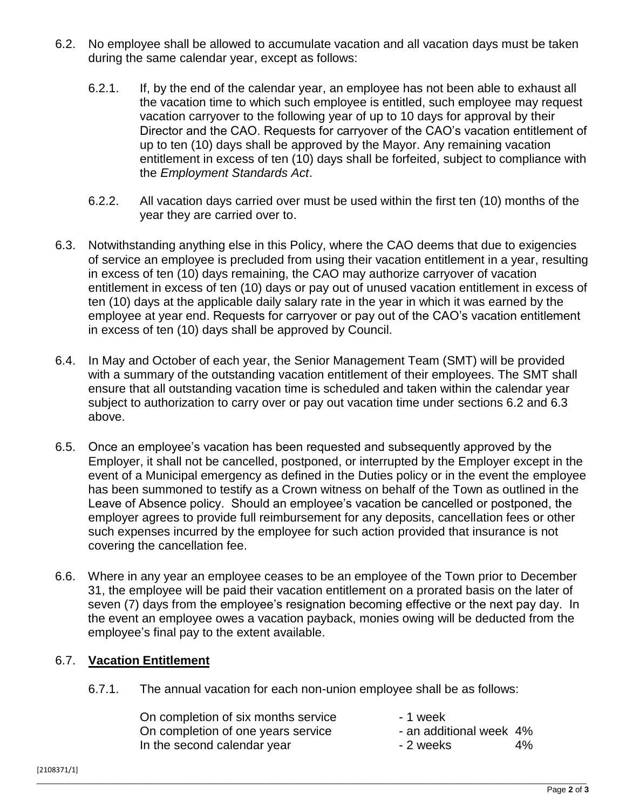- 6.2. No employee shall be allowed to accumulate vacation and all vacation days must be taken during the same calendar year, except as follows:
	- 6.2.1. If, by the end of the calendar year, an employee has not been able to exhaust all the vacation time to which such employee is entitled, such employee may request vacation carryover to the following year of up to 10 days for approval by their Director and the CAO. Requests for carryover of the CAO's vacation entitlement of up to ten (10) days shall be approved by the Mayor. Any remaining vacation entitlement in excess of ten (10) days shall be forfeited, subject to compliance with the *Employment Standards Act*.
	- 6.2.2. All vacation days carried over must be used within the first ten (10) months of the year they are carried over to.
- 6.3. Notwithstanding anything else in this Policy, where the CAO deems that due to exigencies of service an employee is precluded from using their vacation entitlement in a year, resulting in excess of ten (10) days remaining, the CAO may authorize carryover of vacation entitlement in excess of ten (10) days or pay out of unused vacation entitlement in excess of ten (10) days at the applicable daily salary rate in the year in which it was earned by the employee at year end. Requests for carryover or pay out of the CAO's vacation entitlement in excess of ten (10) days shall be approved by Council.
- 6.4. In May and October of each year, the Senior Management Team (SMT) will be provided with a summary of the outstanding vacation entitlement of their employees. The SMT shall ensure that all outstanding vacation time is scheduled and taken within the calendar year subject to authorization to carry over or pay out vacation time under sections 6.2 and 6.3 above.
- 6.5. Once an employee's vacation has been requested and subsequently approved by the Employer, it shall not be cancelled, postponed, or interrupted by the Employer except in the event of a Municipal emergency as defined in the Duties policy or in the event the employee has been summoned to testify as a Crown witness on behalf of the Town as outlined in the Leave of Absence policy. Should an employee's vacation be cancelled or postponed, the employer agrees to provide full reimbursement for any deposits, cancellation fees or other such expenses incurred by the employee for such action provided that insurance is not covering the cancellation fee.
- 6.6. Where in any year an employee ceases to be an employee of the Town prior to December 31, the employee will be paid their vacation entitlement on a prorated basis on the later of seven (7) days from the employee's resignation becoming effective or the next pay day. In the event an employee owes a vacation payback, monies owing will be deducted from the employee's final pay to the extent available.

# 6.7. **Vacation Entitlement**

6.7.1. The annual vacation for each non-union employee shall be as follows:

| On completion of six months service | - 1 week                |    |
|-------------------------------------|-------------------------|----|
| On completion of one years service  | - an additional week 4% |    |
| In the second calendar year         | - 2 weeks               | 4% |